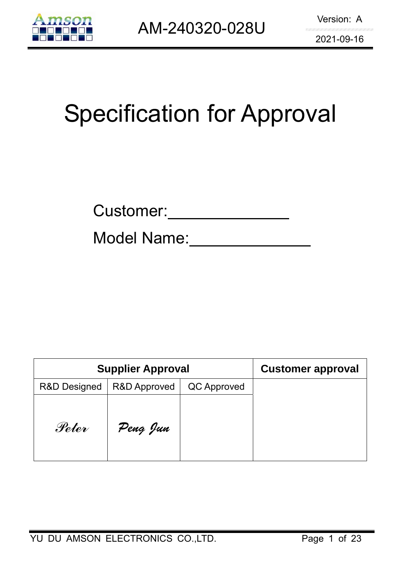

# Specification for Approval

| Customer: |  |
|-----------|--|
|           |  |

Model Name:

| <b>Supplier Approval</b> | <b>Customer approval</b> |             |  |
|--------------------------|--------------------------|-------------|--|
| <b>R&amp;D Designed</b>  | <b>R&amp;D Approved</b>  | QC Approved |  |
| Peter                    | Peng Jun                 |             |  |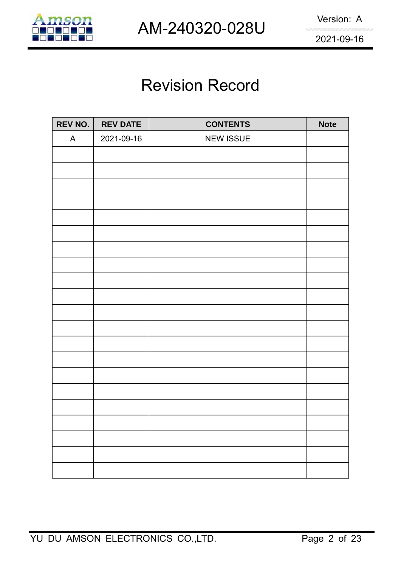

## Revision Record

| <b>REV NO.</b> | <b>REV DATE</b> | <b>CONTENTS</b>  | <b>Note</b> |
|----------------|-----------------|------------------|-------------|
| A              | 2021-09-16      | <b>NEW ISSUE</b> |             |
|                |                 |                  |             |
|                |                 |                  |             |
|                |                 |                  |             |
|                |                 |                  |             |
|                |                 |                  |             |
|                |                 |                  |             |
|                |                 |                  |             |
|                |                 |                  |             |
|                |                 |                  |             |
|                |                 |                  |             |
|                |                 |                  |             |
|                |                 |                  |             |
|                |                 |                  |             |
|                |                 |                  |             |
|                |                 |                  |             |
|                |                 |                  |             |
|                |                 |                  |             |
|                |                 |                  |             |
|                |                 |                  |             |
|                |                 |                  |             |
|                |                 |                  |             |
|                |                 |                  |             |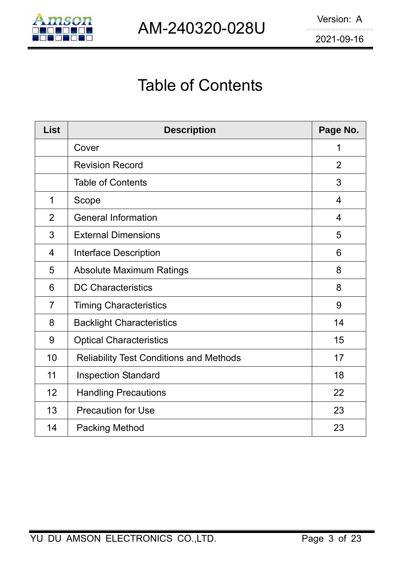

## Table of Contents

| <b>List</b>    | <b>Description</b>                             | Page No.       |
|----------------|------------------------------------------------|----------------|
|                | Cover                                          | 1              |
|                | <b>Revision Record</b>                         | $\overline{2}$ |
|                | <b>Table of Contents</b>                       | 3              |
| 1              | Scope                                          | $\overline{4}$ |
| $\overline{2}$ | <b>General Information</b>                     | $\overline{4}$ |
| 3              | <b>External Dimensions</b>                     | 5              |
| 4              | Interface Description                          | 6              |
| 5              | <b>Absolute Maximum Ratings</b>                | 8              |
| 6              | <b>DC Characteristics</b>                      | 8              |
| $\overline{7}$ | <b>Timing Characteristics</b>                  | 9              |
| 8              | <b>Backlight Characteristics</b>               | 14             |
| 9              | <b>Optical Characteristics</b>                 | 15             |
| 10             | <b>Reliability Test Conditions and Methods</b> | 17             |
| 11             | <b>Inspection Standard</b>                     | 18             |
| 12             | <b>Handling Precautions</b>                    | 22             |
| 13             | <b>Precaution for Use</b>                      | 23             |
| 14             | <b>Packing Method</b>                          | 23             |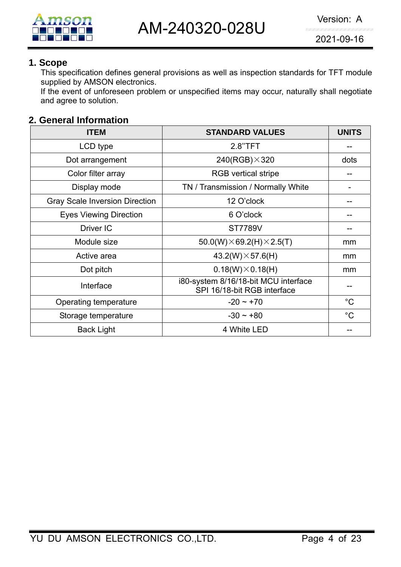

#### **1. Scope**

This specification defines general provisions as well as inspection standards for TFT module supplied by AMSON electronics.

If the event of unforeseen problem or unspecified items may occur, naturally shall negotiate and agree to solution.

#### **2. General Information**

| <b>ITEM</b>                           | <b>STANDARD VALUES</b>                                              | <b>UNITS</b> |
|---------------------------------------|---------------------------------------------------------------------|--------------|
| LCD type                              | 2.8"TFT                                                             |              |
| Dot arrangement                       | $240(RGB)\times320$                                                 | dots         |
| Color filter array                    | <b>RGB</b> vertical stripe                                          |              |
| Display mode                          | TN / Transmission / Normally White                                  |              |
| <b>Gray Scale Inversion Direction</b> | 12 O'clock                                                          |              |
| <b>Eyes Viewing Direction</b>         | 6 O'clock                                                           |              |
| Driver IC                             | <b>ST7789V</b>                                                      |              |
| Module size                           | $50.0(W) \times 69.2(H) \times 2.5(T)$                              | mm           |
| Active area                           | $43.2(W)\times 57.6(H)$                                             | mm           |
| Dot pitch                             | $0.18(W)\times 0.18(H)$                                             | mm           |
| Interface                             | i80-system 8/16/18-bit MCU interface<br>SPI 16/18-bit RGB interface |              |
| Operating temperature                 | $-20 \sim +70$                                                      | $^{\circ}C$  |
| Storage temperature                   | $-30 \sim +80$                                                      | $^{\circ}C$  |
| <b>Back Light</b>                     | 4 White LED                                                         |              |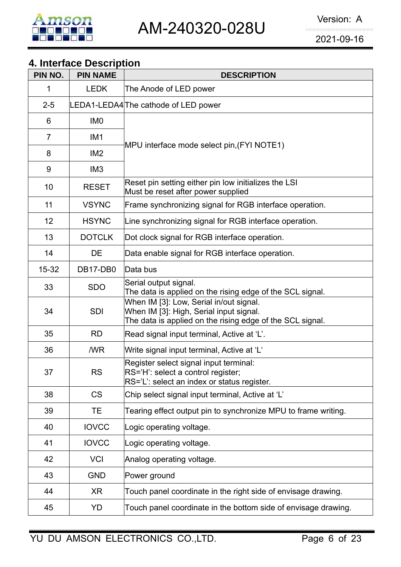

## **4. Interface Description**

| PIN NO.        | <b>PIN NAME</b> | <b>DESCRIPTION</b>                                                                                                                              |  |  |  |  |
|----------------|-----------------|-------------------------------------------------------------------------------------------------------------------------------------------------|--|--|--|--|
| 1              | <b>LEDK</b>     | The Anode of LED power                                                                                                                          |  |  |  |  |
| $2 - 5$        |                 | LEDA1-LEDA4 The cathode of LED power                                                                                                            |  |  |  |  |
| 6              | IM <sub>0</sub> |                                                                                                                                                 |  |  |  |  |
| $\overline{7}$ | IM <sub>1</sub> |                                                                                                                                                 |  |  |  |  |
| 8              | IM <sub>2</sub> | MPU interface mode select pin, (FYI NOTE1)                                                                                                      |  |  |  |  |
| 9              | IM <sub>3</sub> |                                                                                                                                                 |  |  |  |  |
| 10             | <b>RESET</b>    | Reset pin setting either pin low initializes the LSI<br>Must be reset after power supplied                                                      |  |  |  |  |
| 11             | <b>VSYNC</b>    | Frame synchronizing signal for RGB interface operation.                                                                                         |  |  |  |  |
| 12             | <b>HSYNC</b>    | Line synchronizing signal for RGB interface operation.                                                                                          |  |  |  |  |
| 13             | <b>DOTCLK</b>   | Dot clock signal for RGB interface operation.                                                                                                   |  |  |  |  |
| 14             | DE              | Data enable signal for RGB interface operation.                                                                                                 |  |  |  |  |
| $15 - 32$      | DB17-DB0        | Data bus                                                                                                                                        |  |  |  |  |
| 33             | <b>SDO</b>      | Serial output signal.<br>The data is applied on the rising edge of the SCL signal.                                                              |  |  |  |  |
| 34             | <b>SDI</b>      | When IM [3]: Low, Serial in/out signal.<br>When IM [3]: High, Serial input signal.<br>The data is applied on the rising edge of the SCL signal. |  |  |  |  |
| 35             | <b>RD</b>       | Read signal input terminal, Active at 'L'.                                                                                                      |  |  |  |  |
| 36             | /WR             | Write signal input terminal, Active at 'L'                                                                                                      |  |  |  |  |
| 37             | <b>RS</b>       | Register select signal input terminal:<br>RS='H': select a control register;<br>RS='L': select an index or status register.                     |  |  |  |  |
| 38             | <b>CS</b>       | Chip select signal input terminal, Active at 'L'                                                                                                |  |  |  |  |
| 39             | TE.             | Tearing effect output pin to synchronize MPU to frame writing.                                                                                  |  |  |  |  |
| 40             | <b>IOVCC</b>    | Logic operating voltage.                                                                                                                        |  |  |  |  |
| 41             | <b>IOVCC</b>    | Logic operating voltage.                                                                                                                        |  |  |  |  |
| 42             | <b>VCI</b>      | Analog operating voltage.                                                                                                                       |  |  |  |  |
| 43             | <b>GND</b>      | Power ground                                                                                                                                    |  |  |  |  |
| 44             | XR              | Touch panel coordinate in the right side of envisage drawing.                                                                                   |  |  |  |  |
| 45             | YD              | Touch panel coordinate in the bottom side of envisage drawing.                                                                                  |  |  |  |  |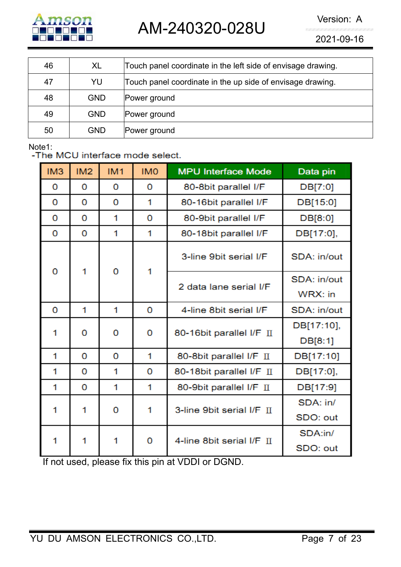

AM-240320-028U Version: A

2021-09-16

| 46 | XL         | Touch panel coordinate in the left side of envisage drawing. |
|----|------------|--------------------------------------------------------------|
| 47 | YU         | Touch panel coordinate in the up side of envisage drawing.   |
| 48 | <b>GND</b> | Power ground                                                 |
| 49 | <b>GND</b> | Power ground                                                 |
| 50 | <b>GND</b> | Power ground                                                 |

Note1:<br>-The MCU interface mode select.

| IM <sub>3</sub> | IM <sub>2</sub> | IM1 | <b>IMO</b> | <b>MPU Interface Mode</b> | Data pin               |
|-----------------|-----------------|-----|------------|---------------------------|------------------------|
| 0               | 0               | 0   | 0          | 80-8bit parallel I/F      | DB[7:0]                |
| 0               | 0               | 0   | 1          | 80-16bit parallel I/F     | DB[15:0]               |
| 0               | 0               | 1   | 0          | 80-9bit parallel I/F      | DB[8:0]                |
| 0               | 0               | 1   | 1          | 80-18bit parallel I/F     | DB[17:0],              |
|                 | 1               |     | 1          | 3-line 9bit serial I/F    | SDA: in/out            |
| 0               |                 | 0   |            | 2 data lane serial I/F    | SDA: in/out<br>WRX: in |
| 0               | 1               | 1   | 0          | 4-line 8bit serial I/F    | SDA: in/out            |
| 1               | 0               | 0   | 0          |                           | DB[17:10],             |
|                 |                 |     |            | 80-16bit parallel I/F II  | DB[8:1]                |
| 1               | 0               | 0   | 1          | 80-8bit parallel I/F II   | DB[17:10]              |
| 1               | 0               | 1   | 0          | 80-18bit parallel I/F II  | DB[17:0],              |
| 1               | 0               | 1   | 1          | 80-9bit parallel I/F II   | DB[17:9]               |
| 1               | 1               | 0   | 1          | 3-line 9bit serial I/F II | SDA: in/               |
|                 |                 |     |            |                           | SDO: out               |
| 1               | 1               | 1   | 0          | 4-line 8bit serial I/F II | SDA:in/                |
|                 |                 |     |            |                           | SDO: out               |

If not used, please fix this pin at VDDI or DGND.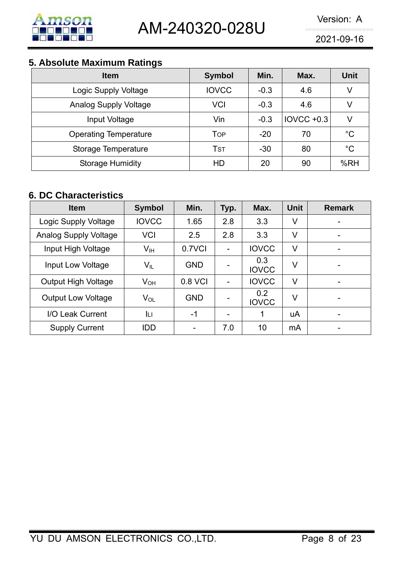

## **5. Absolute Maximum Ratings**

| <b>Item</b>                  | <b>Symbol</b> | Min.   | Max.         | <b>Unit</b> |
|------------------------------|---------------|--------|--------------|-------------|
| Logic Supply Voltage         | <b>IOVCC</b>  | $-0.3$ | 4.6          | V           |
| <b>Analog Supply Voltage</b> | VCI           | $-0.3$ | 4.6          | V           |
| Input Voltage                | Vin           | $-0.3$ | $IOVCC +0.3$ | V           |
| <b>Operating Temperature</b> | Top           | $-20$  | 70           | $^{\circ}C$ |
| Storage Temperature          | TsT           | $-30$  | 80           | $^{\circ}C$ |
| <b>Storage Humidity</b>      | HD            | 20     | 90           | %RH         |

## **6. DC Characteristics**

| <b>Item</b>                  | <b>Symbol</b>              | Min.       | Typ. | Max.                | <b>Unit</b> | <b>Remark</b> |
|------------------------------|----------------------------|------------|------|---------------------|-------------|---------------|
| Logic Supply Voltage         | <b>IOVCC</b>               | 1.65       | 2.8  | 3.3                 | V           |               |
| <b>Analog Supply Voltage</b> | <b>VCI</b>                 | 2.5        | 2.8  | 3.3                 | V           | -             |
| Input High Voltage           | $V_{\text{IH}}$            | 0.7VCI     | -    | <b>IOVCC</b>        | V           |               |
| Input Low Voltage            | $\mathsf{V}_{\mathsf{IL}}$ | <b>GND</b> |      | 0.3<br><b>IOVCC</b> | V           |               |
| <b>Output High Voltage</b>   | $V_{OH}$                   | 0.8 VCI    | -    | <b>IOVCC</b>        | V           |               |
| <b>Output Low Voltage</b>    | $V_{OL}$                   | <b>GND</b> | ۳    | 0.2<br><b>IOVCC</b> | V           |               |
| I/O Leak Current             | Iцг                        | $-1$       | -    |                     | uA          |               |
| <b>Supply Current</b>        | <b>IDD</b>                 |            | 7.0  | 10                  | mA          |               |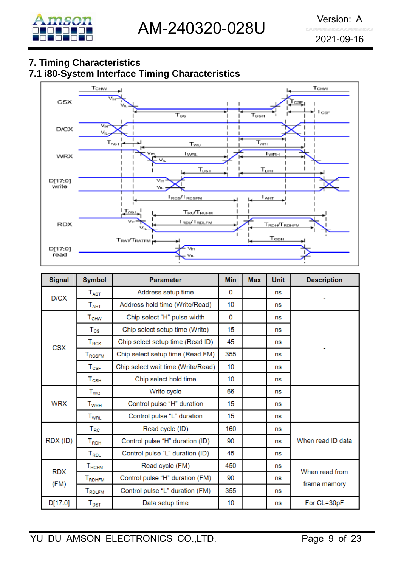## **7. Timing Characteristics**

## **7.1 i80-System Interface Timing Characteristics**



| <b>Signal</b>      | <b>Symbol</b>                   | <b>Parameter</b>                   | <b>Min</b> | <b>Max</b> | <b>Unit</b> | <b>Description</b> |
|--------------------|---------------------------------|------------------------------------|------------|------------|-------------|--------------------|
| D/CX               | $T_{\rm{AST}}$                  | Address setup time                 | 0          |            | ns          |                    |
|                    | $T_{\sf AHT}$                   | Address hold time (Write/Read)     | 10         |            | ns          |                    |
|                    | <b>T<sub>CHW</sub></b>          | Chip select "H" pulse width        | 0          |            | ns          |                    |
|                    | $T_{\rm CS}$                    | Chip select setup time (Write)     | 15         |            | ns          |                    |
| <b>CSX</b>         | $T_{RCS}$                       | Chip select setup time (Read ID)   | 45         |            | ns          |                    |
|                    | T <sub>RCSFM</sub>              | Chip select setup time (Read FM)   | 355        |            | ns          |                    |
|                    | $T_{CSF}$                       | Chip select wait time (Write/Read) | 10         |            | ns          |                    |
| $T_{\mathsf{CSH}}$ |                                 | Chip select hold time              | 10         |            | ns          |                    |
|                    | $T_{WC}$                        | Write cycle                        | 66         |            | ns          |                    |
| <b>WRX</b>         | $T_{\scriptscriptstyle\rm WRH}$ | Control pulse "H" duration         | 15         |            | ns          |                    |
|                    | <b>T</b> <sub>WRL</sub>         | Control pulse "L" duration         | 15         |            | ns          |                    |
|                    | $T_{RC}$                        | Read cycle (ID)                    | 160        |            | ns          |                    |
| RDX (ID)           | $T_{RDH}$                       | Control pulse "H" duration (ID)    | 90         |            | ns          | When read ID data  |
|                    | $T_{RDL}$                       | Control pulse "L" duration (ID)    | 45         |            | ns          |                    |
| <b>RDX</b>         | $T_{RCFM}$                      | Read cycle (FM)                    | 450        |            | ns          | When read from     |
| (FM)               | <b>TRDHFM</b>                   | Control pulse "H" duration (FM)    | 90         |            | ns          |                    |
|                    | TRDLFM                          | Control pulse "L" duration (FM)    | 355        |            | ns          | frame memory       |
| D[17:0]            | $\mathsf{T}_{\mathsf{DST}}$     | Data setup time                    | 10         |            | ns          | For CL=30pF        |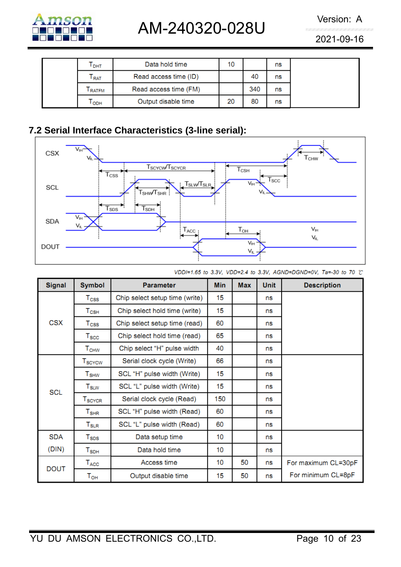

# AM-240320-028U Version: A

2021-09-16

| I DHT         | Data hold time        | 10 |     | ns |  |
|---------------|-----------------------|----|-----|----|--|
| <b>RAT</b>    | Read access time (ID) |    | 40  | ns |  |
| <b>ERATEM</b> | Read access time (FM) |    | 340 | ns |  |
| ODH           | Output disable time   | 20 | 80  | ns |  |

## **7.2 Serial Interface Characteristics (3-line serial):**



| <b>Signal</b> | <b>Symbol</b>                        | <b>Parameter</b>               | <b>Min</b> | <b>Max</b> | <b>Unit</b> | <b>Description</b>  |
|---------------|--------------------------------------|--------------------------------|------------|------------|-------------|---------------------|
|               | $\mathsf{T}_{\textsf{CSS}}$          | Chip select setup time (write) | 15         |            | ns          |                     |
|               | $T_{\scriptscriptstyle{\text{CSH}}}$ | Chip select hold time (write)  | 15         |            | ns          |                     |
| <b>CSX</b>    | T <sub>CSS</sub>                     | Chip select setup time (read)  | 60         |            | ns          |                     |
|               | $\mathsf{T}_{\text{SCC}}$            | Chip select hold time (read)   | 65         |            | ns          |                     |
|               | $\mathsf{T}_{\mathsf{CHW}}$          | Chip select "H" pulse width    | 40         |            | ns          |                     |
|               | $T_{\scriptstyle\rm SCYCW}$          | Serial clock cycle (Write)     | 66         |            | ns          |                     |
|               | $T_{\scriptstyle\text{SHW}}$         | SCL "H" pulse width (Write)    | 15         |            | ns          |                     |
| <b>SCL</b>    | ${\sf T}_{\sf SLW}$                  | SCL "L" pulse width (Write)    | 15         |            | ns          |                     |
|               | $T_{\scriptstyle\text{SCYCR}}$       | Serial clock cycle (Read)      | 150        |            | ns          |                     |
|               | ${\tt T_{SHR}}$                      | SCL "H" pulse width (Read)     | 60         |            | ns          |                     |
|               | ${\sf T}_{\sf SLR}$                  | SCL "L" pulse width (Read)     | 60         |            | ns          |                     |
| <b>SDA</b>    | $T_{\scriptstyle\text{SDS}}$         | Data setup time                | 10         |            | ns          |                     |
| (DIN)         | $\mathsf{T}_{\mathsf{SDH}}$          | Data hold time                 | 10         |            | ns          |                     |
| <b>DOUT</b>   | $\mathsf{T}_{\mathsf{ACC}}$          | Access time                    | 10         | 50         | ns          | For maximum CL=30pF |
|               | $\mathsf{T}_{\mathsf{OH}}$           | Output disable time            | 15         | 50         | ns          | For minimum CL=8pF  |

VDDI=1.65 to 3.3V, VDD=2.4 to 3.3V, AGND=DGND=0V, Ta=-30 to 70 ℃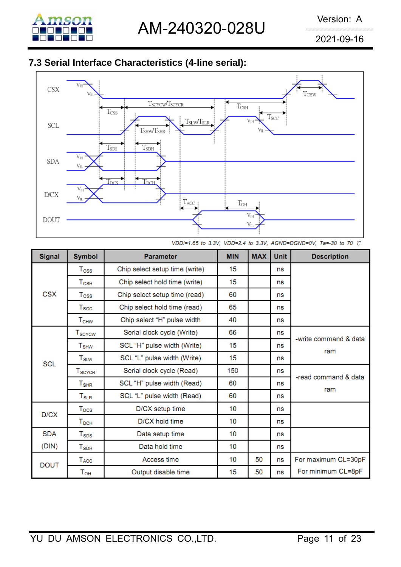

## **7.3 Serial Interface Characteristics (4-line serial):**



VDDI=1.65 to 3.3V, VDD=2.4 to 3.3V, AGND=DGND=0V, Ta=-30 to 70 ℃

| <b>Signal</b> | <b>Symbol</b>                                       | <b>Parameter</b>               |    | <b>MAX</b> | <b>Unit</b> | <b>Description</b>           |
|---------------|-----------------------------------------------------|--------------------------------|----|------------|-------------|------------------------------|
|               | $\mathsf{T}_{\textsf{CSS}}$                         | Chip select setup time (write) | 15 |            | ns          |                              |
|               | Chip select hold time (write)<br>$\mathsf{T_{CSH}}$ |                                | 15 |            | ns          |                              |
| <b>CSX</b>    | $T_{\rm CSS}$                                       | Chip select setup time (read)  | 60 |            | ns          |                              |
|               | $T_{\rm SCC}$                                       | Chip select hold time (read)   | 65 |            | ns          |                              |
|               | ${\tt T_{CHW}}$                                     | Chip select "H" pulse width    | 40 |            | ns          |                              |
|               | T <sub>SCYCW</sub>                                  | Serial clock cycle (Write)     | 66 |            | ns          |                              |
|               | <b>T</b> <sub>SHW</sub>                             | SCL "H" pulse width (Write)    |    |            | ns          | -write command & data<br>ram |
| <b>SCL</b>    | $T_{\scriptstyle\text{SLW}}$                        | SCL "L" pulse width (Write)    | 15 |            | ns          |                              |
|               | T <sub>SCYCR</sub>                                  | Serial clock cycle (Read)      |    |            | ns          | -read command & data         |
|               | ${\tt T_{SHR}}$                                     | SCL "H" pulse width (Read)     |    |            | ns          | ram                          |
|               | ${\sf T}_{\sf SLR}$                                 | SCL "L" pulse width (Read)     | 60 |            | ns          |                              |
| D/CX          | T <sub>DCS</sub>                                    | D/CX setup time                |    |            | ns          |                              |
|               | $T_{DCH}$                                           | D/CX hold time                 | 10 |            | ns          |                              |
| <b>SDA</b>    | $T_{\texttt{SDS}}$                                  | Data setup time                | 10 |            | ns          |                              |
| (DIN)         | ${\tt T}_{\sf SDH}$                                 | Data hold time                 | 10 |            | ns          |                              |
| <b>DOUT</b>   | T <sub>ACC</sub>                                    | Access time                    | 10 | 50         | ns          | For maximum CL=30pF          |
|               | Тон                                                 | Output disable time            | 15 | 50         | ns          | For minimum CL=8pF           |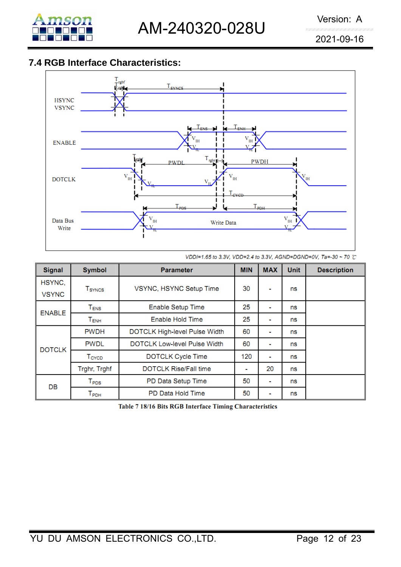

## **7.4 RGB Interface Characteristics:**



VDDI=1.65 to 3.3V, VDD=2.4 to 3.3V, AGND=DGND=0V, Ta=-30 ~ 70 °C

| <b>Signal</b>          | <b>Symbol</b>                  | <b>Parameter</b>                    | <b>MIN</b> | <b>MAX</b>     | <b>Unit</b> | <b>Description</b> |
|------------------------|--------------------------------|-------------------------------------|------------|----------------|-------------|--------------------|
| HSYNC,<br><b>VSYNC</b> | <b>T</b> <sub>SYNCS</sub>      | VSYNC, HSYNC Setup Time             |            | ۰              | ns          |                    |
| <b>ENABLE</b>          | $\mathsf{T}_\mathsf{ENS}$      | <b>Enable Setup Time</b>            | 25         | ۰              | ns          |                    |
|                        | $T_{ENH}$                      | Enable Hold Time                    | 25         | $\blacksquare$ | ns          |                    |
|                        | <b>PWDH</b>                    | DOTCLK High-level Pulse Width       | 60         | ٠              | ns          |                    |
| <b>DOTCLK</b>          | <b>PWDL</b>                    | <b>DOTCLK Low-level Pulse Width</b> | 60         | ۰              | ns          |                    |
|                        | T <sub>CYCD</sub>              | <b>DOTCLK Cycle Time</b>            | 120        | ۰              | ns          |                    |
|                        | Trghr, Trghf                   | <b>DOTCLK Rise/Fall time</b>        | ٠          | 20             | ns          |                    |
| DB                     | $\mathsf{T}_\mathsf{PDS}$      | PD Data Setup Time                  | 50         | ۰              | ns          |                    |
|                        | $\mathsf{\Gamma}_\mathsf{PDH}$ | PD Data Hold Time                   | 50         | ۰              | ns          |                    |

Table 7 18/16 Bits RGB Interface Timing Characteristics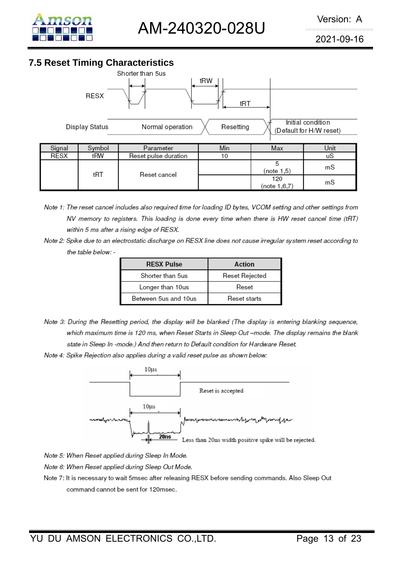

## **7.5 Reset Timing Characteristics**



- Note 1: The reset cancel includes also required time for loading ID bytes, VCOM setting and other settings from NV memory to registers. This loading is done every time when there is HW reset cancel time (tRT) within 5 ms after a rising edge of RESX.
- Note 2: Spike due to an electrostatic discharge on RESX line does not cause irregular system reset according to the table below: -

| <b>RESX Pulse</b>    | Action         |
|----------------------|----------------|
| Shorter than 5us     | Reset Rejected |
| Longer than 10us     | Reset          |
| Between 5us and 10us | Reset starts   |

- Note 3: During the Resetting period, the display will be blanked (The display is entering blanking sequence, which maximum time is 120 ms, when Reset Starts in Sleep Out -mode. The display remains the blank state in Sleep In -mode.) And then return to Default condition for Hardware Reset.
- Note 4: Spike Rejection also applies during a valid reset pulse as shown below:



Note 5: When Reset applied during Sleep In Mode.

- Note 6: When Reset applied during Sleep Out Mode.
- Note 7: It is necessary to wait 5msec after releasing RESX before sending commands. Also Sleep Out command cannot be sent for 120msec.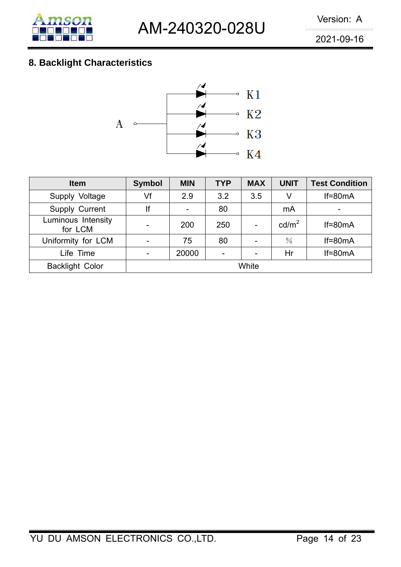

## **8. Backlight Characteristics**



| <b>Item</b>                   | <b>Symbol</b> | <b>MIN</b> | <b>TYP</b> | <b>MAX</b> | <b>UNIT</b>       | <b>Test Condition</b> |
|-------------------------------|---------------|------------|------------|------------|-------------------|-----------------------|
| Supply Voltage                | Vf            | 2.9        | 3.2        | 3.5        | V                 | $If=80mA$             |
| Supply Current                | lf            | -          | 80         |            | mA                | -                     |
| Luminous Intensity<br>for LCM |               | 200        | 250        |            | cd/m <sup>2</sup> | $If=80mA$             |
| Uniformity for LCM            |               | 75         | 80         | -          | $\frac{0}{0}$     | $If=80mA$             |
| Life Time                     |               | 20000      |            | -          | Hr                | $If=80mA$             |
| <b>Backlight Color</b>        | White         |            |            |            |                   |                       |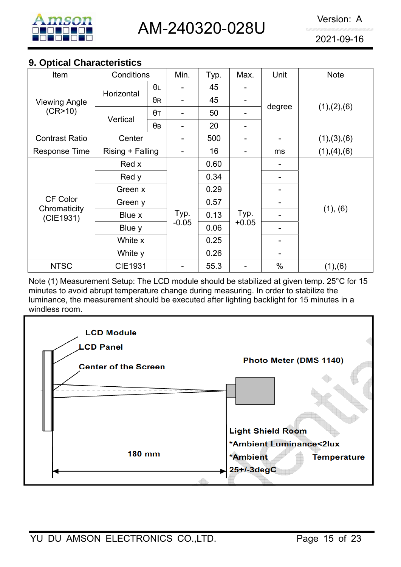

#### **9. Optical Characteristics**

| Item                      | Conditions       |                   | Min.                     | Typ. | Max.    | Unit                     | <b>Note</b>   |  |
|---------------------------|------------------|-------------------|--------------------------|------|---------|--------------------------|---------------|--|
|                           | Horizontal       | θL                |                          | 45   |         |                          |               |  |
| <b>Viewing Angle</b>      |                  | $\theta$ R        | $\overline{\phantom{0}}$ | 45   | -       |                          |               |  |
| (CR>10)                   | Vertical         | $\theta$ T        |                          | 50   |         | degree                   | (1), (2), (6) |  |
|                           |                  | θв                | -                        | 20   |         |                          |               |  |
| <b>Contrast Ratio</b>     | Center           |                   |                          | 500  |         | $\overline{\phantom{0}}$ | (1), (3), (6) |  |
| Response Time             | Rising + Falling |                   |                          | 16   |         | ms                       | (1), (4), (6) |  |
|                           | Red x            |                   |                          | 0.60 |         |                          |               |  |
|                           | Red y<br>Green x |                   |                          | 0.34 |         |                          |               |  |
|                           |                  |                   |                          | 0.29 |         |                          |               |  |
| <b>CF Color</b>           | Green y          |                   |                          | 0.57 |         |                          |               |  |
| Chromaticity<br>(CIE1931) | Blue x           | Blue y<br>White x |                          | 0.13 | Typ.    |                          | (1), (6)      |  |
|                           |                  |                   |                          | 0.06 | $+0.05$ |                          |               |  |
|                           |                  |                   |                          | 0.25 |         |                          |               |  |
|                           | White y          |                   |                          | 0.26 |         |                          |               |  |
| <b>NTSC</b>               | <b>CIE1931</b>   |                   |                          | 55.3 |         | $\%$                     | (1), (6)      |  |

Note (1) Measurement Setup: The LCD module should be stabilized at given temp. 25°C for 15 minutes to avoid abrupt temperature change during measuring. In order to stabilize the luminance, the measurement should be executed after lighting backlight for 15 minutes in a windless room.

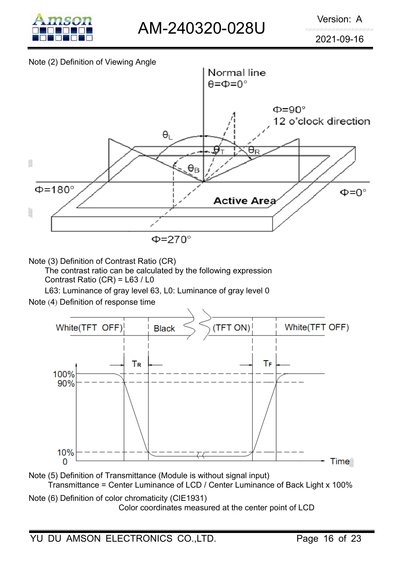

#### Note (2) Definition of Viewing Angle



Note (3) Definition of Contrast Ratio (CR)

The contrast ratio can be calculated by the following expression

Contrast Ratio (CR) = L63 / L0

L63: Luminance of gray level 63, L0: Luminance of gray level 0

Note (4) Definition of response time



Note (5) Definition of Transmittance (Module is without signal input) Transmittance = Center Luminance of LCD / Center Luminance of Back Light x 100%

Note (6) Definition of color chromaticity (CIE1931) Color coordinates measured at the center point of LCD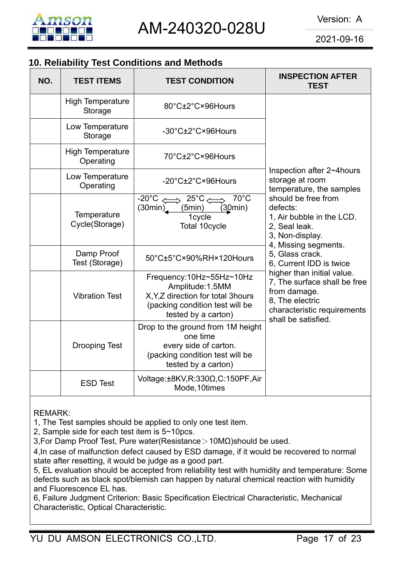

## **10. Reliability Test Conditions and Methods**

| NO. | <b>TEST ITEMS</b>                    | <b>TEST CONDITION</b>                                                                                                                        | <b>INSPECTION AFTER</b><br><b>TEST</b>                                                                                                              |
|-----|--------------------------------------|----------------------------------------------------------------------------------------------------------------------------------------------|-----------------------------------------------------------------------------------------------------------------------------------------------------|
|     | <b>High Temperature</b><br>Storage   | 80°C±2°C×96Hours                                                                                                                             |                                                                                                                                                     |
|     | Low Temperature<br>Storage           | -30°C±2°C×96Hours                                                                                                                            |                                                                                                                                                     |
|     | <b>High Temperature</b><br>Operating | 70°C±2°C×96Hours                                                                                                                             |                                                                                                                                                     |
|     | Low Temperature<br>Operating         | -20°C±2°C×96Hours                                                                                                                            | Inspection after 2~4hours<br>storage at room<br>temperature, the samples                                                                            |
|     | Temperature<br>Cycle(Storage)        | $-20^{\circ}C \iff 25^{\circ}C \iff$<br>$70^{\circ}$ C<br>(30min)<br>(5min)<br>(30min)<br>1cycle<br>Total 10cycle                            | should be free from<br>defects:<br>1, Air bubble in the LCD.<br>2, Seal leak.<br>3, Non-display.<br>4, Missing segments.                            |
|     | Damp Proof<br>Test (Storage)         | 50°C±5°C×90%RH×120Hours                                                                                                                      | 5, Glass crack.<br>6, Current IDD is twice                                                                                                          |
|     | <b>Vibration Test</b>                | Frequency:10Hz~55Hz~10Hz<br>Amplitude: 1.5MM<br>X, Y, Z direction for total 3hours<br>(packing condition test will be<br>tested by a carton) | higher than initial value.<br>7, The surface shall be free<br>from damage.<br>8. The electric<br>characteristic requirements<br>shall be satisfied. |
|     | <b>Drooping Test</b>                 | Drop to the ground from 1M height<br>one time<br>every side of carton.<br>(packing condition test will be<br>tested by a carton)             |                                                                                                                                                     |
|     | <b>ESD Test</b>                      | Voltage:±8KV,R:330Ω,C:150PF,Air<br>Mode, 10times                                                                                             |                                                                                                                                                     |

REMARK:

1, The Test samples should be applied to only one test item.

2, Sample side for each test item is 5~10pcs.

3,For Damp Proof Test, Pure water(Resistance>10MΩ)should be used.

4,In case of malfunction defect caused by ESD damage, if it would be recovered to normal state after resetting, it would be judge as a good part.

5, EL evaluation should be accepted from reliability test with humidity and temperature: Some defects such as black spot/blemish can happen by natural chemical reaction with humidity and Fluorescence EL has.

6, Failure Judgment Criterion: Basic Specification Electrical Characteristic, Mechanical Characteristic, Optical Characteristic.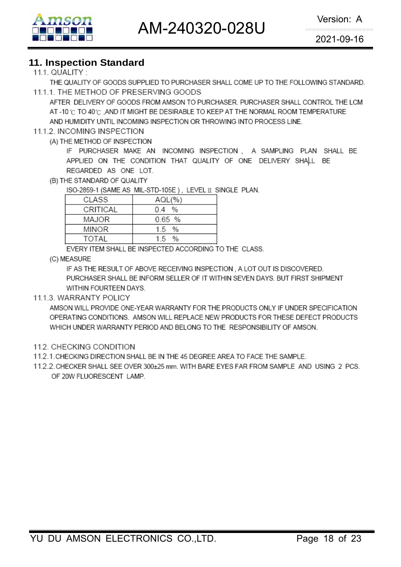AM-240320-028U Version: A



2021-09-16

#### **11. Inspection Standard**

#### 111 QUALITY  $\cdot$

THE QUALITY OF GOODS SUPPLIED TO PURCHASER SHALL COME UP TO THE FOLLOWING STANDARD. 11.1.1. THE METHOD OF PRESERVING GOODS

AFTER DELIVERY OF GOODS FROM AMSON TO PURCHASER, PURCHASER SHALL CONTROL THE LCM AT -10 °C TO 40 °C .AND IT MIGHT BE DESIRABLE TO KEEP AT THE NORMAL ROOM TEMPERATURE AND HUMIDITY UNTIL INCOMING INSPECTION OR THROWING INTO PROCESS LINE.

#### 11.1.2. INCOMING INSPECTION

(A) THE METHOD OF INSPECTION

IF PURCHASER MAKE AN INCOMING INSPECTION, A SAMPLING PLAN SHALL BE APPLIED ON THE CONDITION THAT QUALITY OF ONE DELIVERY SHALL BE REGARDED AS ONE LOT.

(B) THE STANDARD OF QUALITY

ISO-2859-1 (SAME AS MIL-STD-105E), LEVEL II SINGLE PLAN.

| CLASS        | AQL(%     |
|--------------|-----------|
| CRITICAL     | 0.4 %     |
| MAJOR        | $0.65$ %  |
| <b>MINOR</b> | $1.5 \t%$ |
| TOTAL        | 15 %      |
|              |           |

EVERY ITEM SHALL BE INSPECTED ACCORDING TO THE CLASS.

(C) MEASURE

IF AS THE RESULT OF ABOVE RECEIVING INSPECTION, A LOT OUT IS DISCOVERED. PURCHASER SHALL BE INFORM SELLER OF IT WITHIN SEVEN DAYS. BUT FIRST SHIPMENT WITHIN FOURTEEN DAYS.

#### 11.1.3. WARRANTY POLICY

AMSON WILL PROVIDE ONE-YEAR WARRANTY FOR THE PRODUCTS ONLY IF UNDER SPECIFICATION OPERATING CONDITIONS. AMSON WILL REPLACE NEW PRODUCTS FOR THESE DEFECT PRODUCTS WHICH UNDER WARRANTY PERIOD AND BELONG TO THE RESPONSIBILITY OF AMSON.

- 11.2. CHECKING CONDITION
- 11.2.1. CHECKING DIRECTION SHALL BE IN THE 45 DEGREE AREA TO FACE THE SAMPLE.
- 11.2.2. CHECKER SHALL SEE OVER 300±25 mm. WITH BARE EYES FAR FROM SAMPLE AND USING 2 PCS. OF 20W FLUORESCENT LAMP.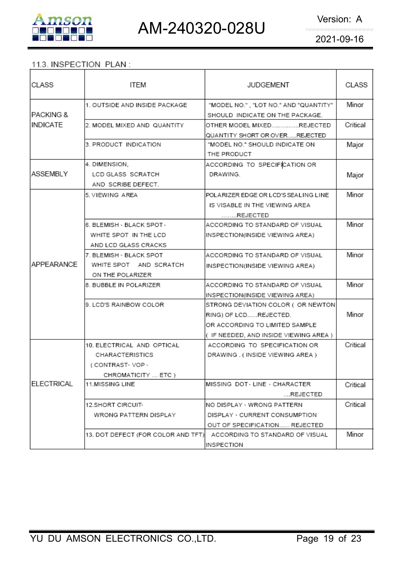

#### 11.3. INSPECTION PLAN:

| CLASS      | ITEM                               | <b>JUDGEMENT</b>                                                         | CLASS    |
|------------|------------------------------------|--------------------------------------------------------------------------|----------|
| IPACKING & | 1. OUTSIDE AND INSIDE PACKAGE      | "MODEL NO.", "LOT NO." AND "QUANTITY"<br>SHOULD INDICATE ON THE PACKAGE. | Minor    |
| INDICATE   | 2. MODEL MIXED AND QUANTITY        | OTHER MODEL MIXEDREJECTED                                                | Critical |
|            |                                    | QUANTITY SHORT OR OVERREJECTED                                           |          |
|            | 3. PRODUCT INDICATION              | "MODEL NO." SHOULD INDICATE ON                                           | Major    |
|            |                                    | THE PRODUCT                                                              |          |
|            | 4. DIMENSION,                      | ACCORDING TO SPECIFICATION OR                                            |          |
| ASSEMBLY   | LCD GLASS SCRATCH                  | DRAWING.                                                                 | Major    |
|            | AND SCRIBE DEFECT.                 |                                                                          |          |
|            | 5. VIEWING AREA                    | POLARIZER EDGE OR LCD'S SEALING LINE                                     | Minor    |
|            |                                    | IS VISABLE IN THE VIEWING AREA                                           |          |
|            |                                    | REJECTED                                                                 |          |
|            | 6. BLEMISH - BLACK SPOT -          | ACCORDING TO STANDARD OF VISUAL                                          | Minor    |
|            | WHITE SPOT IN THE LCD              | INSPECTION(INSIDE VIEWING AREA)                                          |          |
|            | AND LCD GLASS CRACKS               |                                                                          |          |
|            | l7. BLEMISH ⋅ BLACK SPOT.          | ACCORDING TO STANDARD OF VISUAL                                          | Minor    |
| APPEARANCE | WHITE SPOT AND SCRATCH             | INSPECTION(INSIDE VIEWING AREA)                                          |          |
|            | ON THE POLARIZER                   |                                                                          |          |
|            | 8. BUBBLE IN POLARIZER             | ACCORDING TO STANDARD OF VISUAL                                          | Minor    |
|            |                                    | INSPECTION(INSIDE VIEWING AREA)                                          |          |
|            | 9. LCD'S RAINBOW COLOR             | STRONG DEVIATION COLOR ( OR NEWTON)                                      |          |
|            |                                    | RING) OF LCDREJECTED.                                                    | Minor    |
|            |                                    | OR ACCORDING TO LIMITED SAMPLE                                           |          |
|            |                                    | ( IF NEEDED, AND INSIDE VIEWING AREA )                                   |          |
|            | 10. ELECTRICAL AND OPTICAL         | ACCORDING TO SPECIFICATION OR                                            | Critical |
|            | CHARACTERISTICS                    | DRAWING. (INSIDE VIEWING AREA)                                           |          |
|            | (CONTRAST-VOP-                     |                                                                          |          |
|            | CHROMATICITY  ETC )                |                                                                          |          |
| ELECTRICAL | <b>11.MISSING LINE</b>             | IMISSING DOT←LINE→ CHARACTER-                                            | Critical |
|            |                                    | REJECTED                                                                 |          |
|            | 12.SHORT CIRCUIT-                  | INO DISPLAY - WRONG PATTERN                                              | Critical |
|            | WRONG PATTERN DISPLAY              | DISPLAY · CURRENT CONSUMPTION                                            |          |
|            |                                    | OUT OF SPECIFICATION REJECTED                                            |          |
|            | 13. DOT DEFECT (FOR COLOR AND TFT) | ACCORDING TO STANDARD OF VISUAL                                          | Minor    |
|            |                                    | INSPECTION                                                               |          |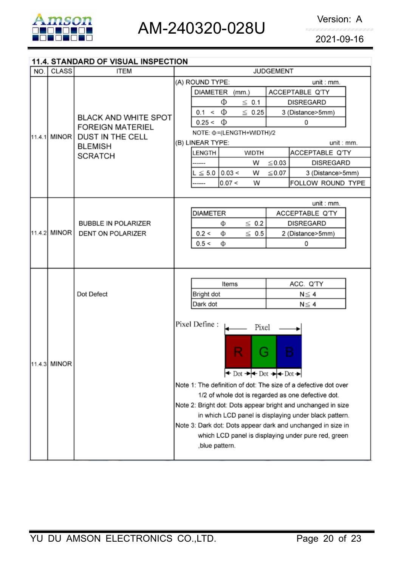

## 11.4. STANDARD OF VISUAL INSPECTION

| NO. | <b>CLASS</b>                 | <b>ITEM</b>                                            | <b>JUDGEMENT</b>                                                                                                                                                                                                                                                                                                                                                                                                                                                                                                                                                                                                                                                                           |  |  |  |  |  |
|-----|------------------------------|--------------------------------------------------------|--------------------------------------------------------------------------------------------------------------------------------------------------------------------------------------------------------------------------------------------------------------------------------------------------------------------------------------------------------------------------------------------------------------------------------------------------------------------------------------------------------------------------------------------------------------------------------------------------------------------------------------------------------------------------------------------|--|--|--|--|--|
|     |                              |                                                        | (A) ROUND TYPE:<br>unit:mm.                                                                                                                                                                                                                                                                                                                                                                                                                                                                                                                                                                                                                                                                |  |  |  |  |  |
|     |                              | <b>BLACK AND WHITE SPOT</b><br><b>FOREIGN MATERIEL</b> | DIAMETER (mm.)<br>ACCEPTABLE Q'TY                                                                                                                                                                                                                                                                                                                                                                                                                                                                                                                                                                                                                                                          |  |  |  |  |  |
|     |                              |                                                        | Φ<br>$\leq$ 0.1<br><b>DISREGARD</b>                                                                                                                                                                                                                                                                                                                                                                                                                                                                                                                                                                                                                                                        |  |  |  |  |  |
|     |                              |                                                        | $0.1 < \Phi$<br>$\leq 0.25$<br>3 (Distance>5mm)                                                                                                                                                                                                                                                                                                                                                                                                                                                                                                                                                                                                                                            |  |  |  |  |  |
|     |                              |                                                        | $0.25 < \Phi$<br>0                                                                                                                                                                                                                                                                                                                                                                                                                                                                                                                                                                                                                                                                         |  |  |  |  |  |
|     | 11.4.1 MINOR                 | <b>DUST IN THE CELL</b>                                | NOTE: Φ=(LENGTH+WIDTH)/2                                                                                                                                                                                                                                                                                                                                                                                                                                                                                                                                                                                                                                                                   |  |  |  |  |  |
|     |                              | <b>BLEMISH</b>                                         | (B) LINEAR TYPE:<br>unit : mm.                                                                                                                                                                                                                                                                                                                                                                                                                                                                                                                                                                                                                                                             |  |  |  |  |  |
|     |                              | <b>SCRATCH</b>                                         | LENGTH<br>ACCEPTABLE Q'TY<br><b>WIDTH</b>                                                                                                                                                                                                                                                                                                                                                                                                                                                                                                                                                                                                                                                  |  |  |  |  |  |
|     |                              |                                                        | $\leq 0.03$<br><b>DISREGARD</b><br>W                                                                                                                                                                                                                                                                                                                                                                                                                                                                                                                                                                                                                                                       |  |  |  |  |  |
|     |                              |                                                        | 0.03 <br>$\leq 0.07$<br>$\mathsf{L} \leq 5.0$<br>W<br>3 (Distance>5mm)                                                                                                                                                                                                                                                                                                                                                                                                                                                                                                                                                                                                                     |  |  |  |  |  |
|     |                              |                                                        |                                                                                                                                                                                                                                                                                                                                                                                                                                                                                                                                                                                                                                                                                            |  |  |  |  |  |
|     |                              |                                                        |                                                                                                                                                                                                                                                                                                                                                                                                                                                                                                                                                                                                                                                                                            |  |  |  |  |  |
|     |                              |                                                        |                                                                                                                                                                                                                                                                                                                                                                                                                                                                                                                                                                                                                                                                                            |  |  |  |  |  |
|     |                              |                                                        |                                                                                                                                                                                                                                                                                                                                                                                                                                                                                                                                                                                                                                                                                            |  |  |  |  |  |
|     |                              | <b>DENT ON POLARIZER</b>                               |                                                                                                                                                                                                                                                                                                                                                                                                                                                                                                                                                                                                                                                                                            |  |  |  |  |  |
|     |                              |                                                        |                                                                                                                                                                                                                                                                                                                                                                                                                                                                                                                                                                                                                                                                                            |  |  |  |  |  |
|     |                              |                                                        |                                                                                                                                                                                                                                                                                                                                                                                                                                                                                                                                                                                                                                                                                            |  |  |  |  |  |
|     |                              |                                                        |                                                                                                                                                                                                                                                                                                                                                                                                                                                                                                                                                                                                                                                                                            |  |  |  |  |  |
|     |                              |                                                        |                                                                                                                                                                                                                                                                                                                                                                                                                                                                                                                                                                                                                                                                                            |  |  |  |  |  |
|     |                              |                                                        | Items<br>ACC. Q'TY                                                                                                                                                                                                                                                                                                                                                                                                                                                                                                                                                                                                                                                                         |  |  |  |  |  |
|     |                              | Dot Defect                                             | Bright dot<br>$N \leq 4$                                                                                                                                                                                                                                                                                                                                                                                                                                                                                                                                                                                                                                                                   |  |  |  |  |  |
|     |                              |                                                        | Dark dot<br>$N \leq 4$                                                                                                                                                                                                                                                                                                                                                                                                                                                                                                                                                                                                                                                                     |  |  |  |  |  |
|     |                              |                                                        |                                                                                                                                                                                                                                                                                                                                                                                                                                                                                                                                                                                                                                                                                            |  |  |  |  |  |
|     |                              |                                                        | Pixel Define :                                                                                                                                                                                                                                                                                                                                                                                                                                                                                                                                                                                                                                                                             |  |  |  |  |  |
|     |                              |                                                        |                                                                                                                                                                                                                                                                                                                                                                                                                                                                                                                                                                                                                                                                                            |  |  |  |  |  |
|     |                              |                                                        |                                                                                                                                                                                                                                                                                                                                                                                                                                                                                                                                                                                                                                                                                            |  |  |  |  |  |
|     |                              |                                                        |                                                                                                                                                                                                                                                                                                                                                                                                                                                                                                                                                                                                                                                                                            |  |  |  |  |  |
|     |                              |                                                        |                                                                                                                                                                                                                                                                                                                                                                                                                                                                                                                                                                                                                                                                                            |  |  |  |  |  |
|     |                              |                                                        |                                                                                                                                                                                                                                                                                                                                                                                                                                                                                                                                                                                                                                                                                            |  |  |  |  |  |
|     |                              |                                                        |                                                                                                                                                                                                                                                                                                                                                                                                                                                                                                                                                                                                                                                                                            |  |  |  |  |  |
|     |                              |                                                        |                                                                                                                                                                                                                                                                                                                                                                                                                                                                                                                                                                                                                                                                                            |  |  |  |  |  |
|     |                              |                                                        |                                                                                                                                                                                                                                                                                                                                                                                                                                                                                                                                                                                                                                                                                            |  |  |  |  |  |
|     |                              |                                                        |                                                                                                                                                                                                                                                                                                                                                                                                                                                                                                                                                                                                                                                                                            |  |  |  |  |  |
|     |                              |                                                        |                                                                                                                                                                                                                                                                                                                                                                                                                                                                                                                                                                                                                                                                                            |  |  |  |  |  |
|     |                              |                                                        |                                                                                                                                                                                                                                                                                                                                                                                                                                                                                                                                                                                                                                                                                            |  |  |  |  |  |
|     |                              |                                                        |                                                                                                                                                                                                                                                                                                                                                                                                                                                                                                                                                                                                                                                                                            |  |  |  |  |  |
|     | 11.4.2 MINOR<br>11.4.3 MINOR | <b>BUBBLE IN POLARIZER</b>                             | FOLLOW ROUND TYPE<br>0.07 <<br>W<br>unit: mm.<br><b>DIAMETER</b><br>ACCEPTABLE Q'TY<br>$\leq 0.2$<br><b>DISREGARD</b><br>Φ<br>$\leq 0.5$<br>0.2 <<br>Ф<br>2 (Distance>5mm)<br>0.5 <<br>Ф<br>0<br>Pixel<br>B<br>R<br>÷<br>$\leftrightarrow$ Dot $\rightarrow$ Pot $\rightarrow$ Pot $\rightarrow$<br>Note 1: The definition of dot: The size of a defective dot over<br>1/2 of whole dot is regarded as one defective dot.<br>Note 2: Bright dot: Dots appear bright and unchanged in size<br>in which LCD panel is displaying under black pattern.<br>Note 3: Dark dot: Dots appear dark and unchanged in size in<br>which LCD panel is displaying under pure red, green<br>,blue pattern. |  |  |  |  |  |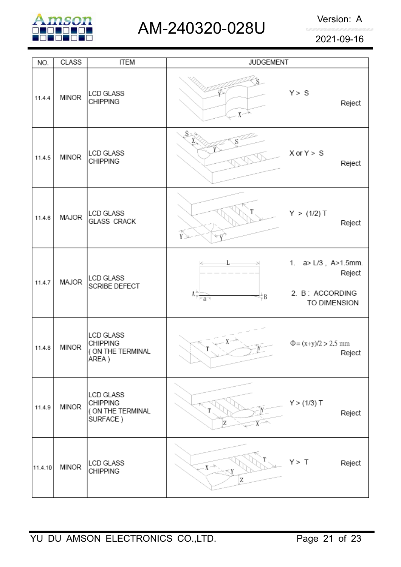

## AM-240320-028U Version: A

2021-09-16

| NO.     | <b>CLASS</b> | <b>ITEM</b>                                                          | <b>JUDGEMENT</b>                                                                                 |                                                                           |
|---------|--------------|----------------------------------------------------------------------|--------------------------------------------------------------------------------------------------|---------------------------------------------------------------------------|
| 11.4.4  | <b>MINOR</b> | <b>LCD GLASS</b><br><b>CHIPPING</b>                                  | $X^{\sim}$                                                                                       | Y > S<br>Reject                                                           |
| 11.4.5  | <b>MINOR</b> | <b>LCD GLASS</b><br><b>CHIPPING</b>                                  | S×.                                                                                              | $X$ or $Y > S$<br>Reject                                                  |
| 11.4.6  | MAJOR        | LCD GLASS<br><b>GLASS CRACK</b>                                      | Ý≥                                                                                               | Y > (1/2) T<br>Reject                                                     |
| 11.4.7  | MAJOR        | <b>LCD GLASS</b><br>SCRIBE DEFECT                                    | $\Lambda^{\frac{\kappa}{\gamma}}_{\overline{\gamma} \; \mathbf{r}-\mathbf{g} \rightarrow}$<br>₩₿ | 1. $a > L/3$ , $A > 1.5$ mm.<br>Reject<br>2. B: ACCORDING<br>TO DIMENSION |
| 11.4.8  | <b>MINOR</b> | <b>LCD GLASS</b><br><b>CHIPPING</b><br>( ON THE TERMINAL<br>AREA)    |                                                                                                  | $\Phi = (x+y)/2 > 2.5$ mm<br>Reject                                       |
| 11.4.9  | <b>MINOR</b> | <b>LCD GLASS</b><br><b>CHIPPING</b><br>( ON THE TERMINAL<br>SURFACE) | Z                                                                                                | Y > (1/3) T<br>Reject                                                     |
| 11.4.10 | <b>MINOR</b> | LCD GLASS<br><b>CHIPPING</b>                                         | $X \rightarrow$<br>Z                                                                             | Y > T<br>Reject                                                           |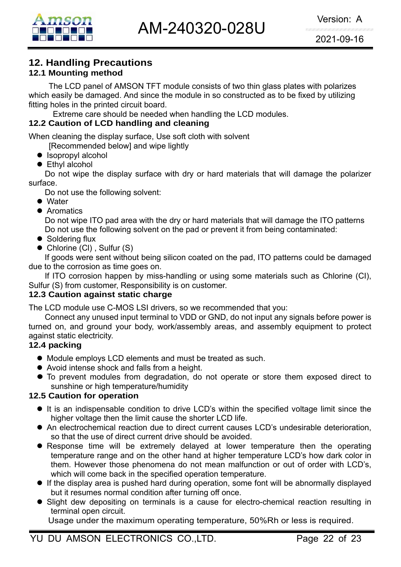

## **12. Handling Precautions**

#### **12.1 Mounting method**

The LCD panel of AMSON TFT module consists of two thin glass plates with polarizes which easily be damaged. And since the module in so constructed as to be fixed by utilizing fitting holes in the printed circuit board.

Extreme care should be needed when handling the LCD modules.

#### **12.2 Caution of LCD handling and cleaning**

When cleaning the display surface, Use soft cloth with solvent

[Recommended below] and wipe lightly

- $\bullet$  Isopropyl alcohol
- $\bullet$  Ethyl alcohol

 Do not wipe the display surface with dry or hard materials that will damage the polarizer surface.

Do not use the following solvent:

- $\bullet$  Water
- **Aromatics**

 Do not wipe ITO pad area with the dry or hard materials that will damage the ITO patterns Do not use the following solvent on the pad or prevent it from being contaminated:

- $\bullet$  Soldering flux
- $\bullet$  Chlorine (CI), Sulfur (S)

If goods were sent without being silicon coated on the pad, ITO patterns could be damaged due to the corrosion as time goes on.

If ITO corrosion happen by miss-handling or using some materials such as Chlorine (CI), Sulfur (S) from customer, Responsibility is on customer.

#### **12.3 Caution against static charge**

The LCD module use C-MOS LSI drivers, so we recommended that you:

Connect any unused input terminal to VDD or GND, do not input any signals before power is turned on, and ground your body, work/assembly areas, and assembly equipment to protect against static electricity.

#### **12.4 packing**

- Module employs LCD elements and must be treated as such.
- Avoid intense shock and falls from a height.
- $\bullet$  To prevent modules from degradation, do not operate or store them exposed direct to sunshine or high temperature/humidity

#### **12.5 Caution for operation**

- It is an indispensable condition to drive LCD's within the specified voltage limit since the higher voltage then the limit cause the shorter LCD life.
- An electrochemical reaction due to direct current causes LCD's undesirable deterioration, so that the use of direct current drive should be avoided.
- Response time will be extremely delayed at lower temperature then the operating temperature range and on the other hand at higher temperature LCD's how dark color in them. However those phenomena do not mean malfunction or out of order with LCD's, which will come back in the specified operation temperature.
- $\bullet$  If the display area is pushed hard during operation, some font will be abnormally displayed but it resumes normal condition after turning off once.
- Slight dew depositing on terminals is a cause for electro-chemical reaction resulting in terminal open circuit.

Usage under the maximum operating temperature, 50%Rh or less is required.